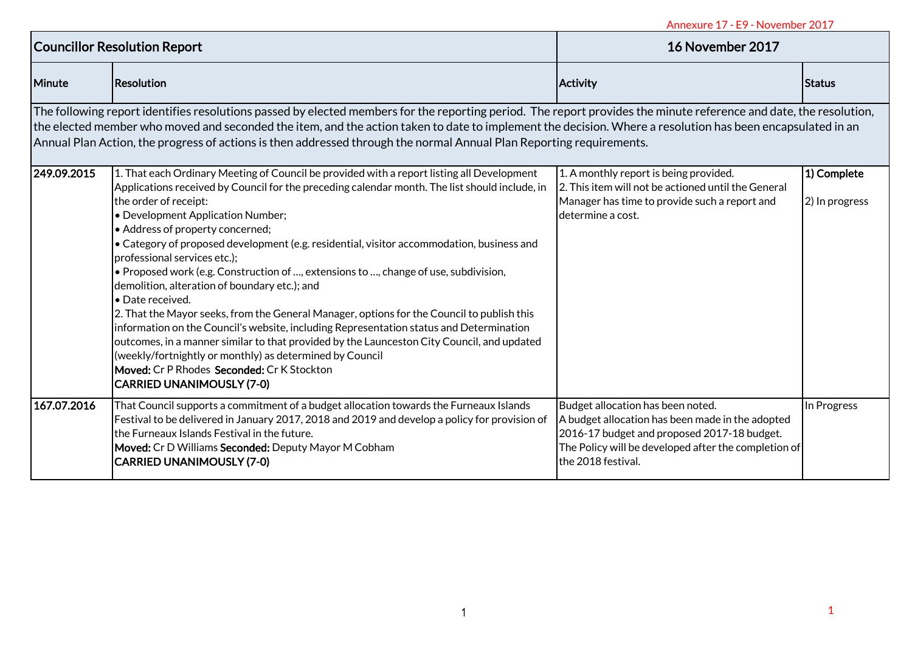| <b>Councillor Resolution Report</b> |                                                                                                                                                                                                                                                                                                                                                                                                                                                                                                                                                                                                                                                                                                                                                                                                                                                                                                                                                                                                                              | 16 November 2017                                                                                                                                                                                                   |                               |
|-------------------------------------|------------------------------------------------------------------------------------------------------------------------------------------------------------------------------------------------------------------------------------------------------------------------------------------------------------------------------------------------------------------------------------------------------------------------------------------------------------------------------------------------------------------------------------------------------------------------------------------------------------------------------------------------------------------------------------------------------------------------------------------------------------------------------------------------------------------------------------------------------------------------------------------------------------------------------------------------------------------------------------------------------------------------------|--------------------------------------------------------------------------------------------------------------------------------------------------------------------------------------------------------------------|-------------------------------|
| Minute                              | <b>Resolution</b>                                                                                                                                                                                                                                                                                                                                                                                                                                                                                                                                                                                                                                                                                                                                                                                                                                                                                                                                                                                                            | Activity                                                                                                                                                                                                           | <b>Status</b>                 |
|                                     | The following report identifies resolutions passed by elected members for the reporting period. The report provides the minute reference and date, the resolution,<br>the elected member who moved and seconded the item, and the action taken to date to implement the decision. Where a resolution has been encapsulated in an<br>Annual Plan Action, the progress of actions is then addressed through the normal Annual Plan Reporting requirements.                                                                                                                                                                                                                                                                                                                                                                                                                                                                                                                                                                     |                                                                                                                                                                                                                    |                               |
| 249.09.2015                         | 1. That each Ordinary Meeting of Council be provided with a report listing all Development<br>Applications received by Council for the preceding calendar month. The list should include, in<br>the order of receipt:<br>• Development Application Number;<br>• Address of property concerned;<br>• Category of proposed development (e.g. residential, visitor accommodation, business and<br>professional services etc.);<br>• Proposed work (e.g. Construction of , extensions to , change of use, subdivision,<br>demolition, alteration of boundary etc.); and<br>· Date received.<br>2. That the Mayor seeks, from the General Manager, options for the Council to publish this<br>information on the Council's website, including Representation status and Determination<br>outcomes, in a manner similar to that provided by the Launceston City Council, and updated<br>(weekly/fortnightly or monthly) as determined by Council<br>Moved: Cr P Rhodes Seconded: Cr K Stockton<br><b>CARRIED UNANIMOUSLY (7-0)</b> | 1. A monthly report is being provided.<br>2. This item will not be actioned until the General<br>Manager has time to provide such a report and<br>determine a cost.                                                | 1) Complete<br>2) In progress |
| 167.07.2016                         | That Council supports a commitment of a budget allocation towards the Furneaux Islands<br>Festival to be delivered in January 2017, 2018 and 2019 and develop a policy for provision of<br>the Furneaux Islands Festival in the future.<br>Moved: Cr D Williams Seconded: Deputy Mayor M Cobham<br><b>CARRIED UNANIMOUSLY (7-0)</b>                                                                                                                                                                                                                                                                                                                                                                                                                                                                                                                                                                                                                                                                                          | Budget allocation has been noted.<br>A budget allocation has been made in the adopted<br>2016-17 budget and proposed 2017-18 budget.<br>The Policy will be developed after the completion of<br>the 2018 festival. | In Progress                   |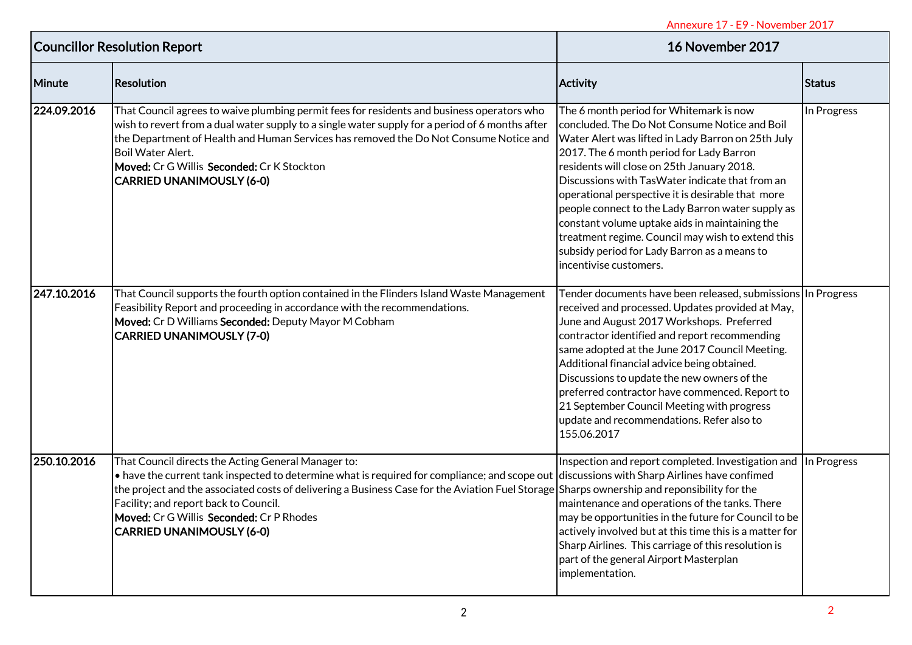|                                                                                                                                                                                                                                                                                                                                                                                               | 16 November 2017                                                                                                                                                                                                                                                                                                                                                                                                                                                                                                                 |                                                                                                                                                                                                                                                                                                                                                                                                                                                                                                                                      |
|-----------------------------------------------------------------------------------------------------------------------------------------------------------------------------------------------------------------------------------------------------------------------------------------------------------------------------------------------------------------------------------------------|----------------------------------------------------------------------------------------------------------------------------------------------------------------------------------------------------------------------------------------------------------------------------------------------------------------------------------------------------------------------------------------------------------------------------------------------------------------------------------------------------------------------------------|--------------------------------------------------------------------------------------------------------------------------------------------------------------------------------------------------------------------------------------------------------------------------------------------------------------------------------------------------------------------------------------------------------------------------------------------------------------------------------------------------------------------------------------|
| <b>Resolution</b>                                                                                                                                                                                                                                                                                                                                                                             |                                                                                                                                                                                                                                                                                                                                                                                                                                                                                                                                  | Status                                                                                                                                                                                                                                                                                                                                                                                                                                                                                                                               |
| That Council agrees to waive plumbing permit fees for residents and business operators who<br>wish to revert from a dual water supply to a single water supply for a period of 6 months after<br>the Department of Health and Human Services has removed the Do Not Consume Notice and<br>Boil Water Alert.<br>Moved: Cr G Willis Seconded: Cr K Stockton<br><b>CARRIED UNANIMOUSLY (6-0)</b> | The 6 month period for Whitemark is now<br>concluded. The Do Not Consume Notice and Boil<br>2017. The 6 month period for Lady Barron<br>residents will close on 25th January 2018.<br>Discussions with TasWater indicate that from an<br>operational perspective it is desirable that more<br>people connect to the Lady Barron water supply as<br>constant volume uptake aids in maintaining the<br>treatment regime. Council may wish to extend this<br>subsidy period for Lady Barron as a means to<br>incentivise customers. | In Progress                                                                                                                                                                                                                                                                                                                                                                                                                                                                                                                          |
| That Council supports the fourth option contained in the Flinders Island Waste Management<br>Feasibility Report and proceeding in accordance with the recommendations.<br>Moved: Cr D Williams Seconded: Deputy Mayor M Cobham<br><b>CARRIED UNANIMOUSLY (7-0)</b>                                                                                                                            | Tender documents have been released, submissions In Progress<br>received and processed. Updates provided at May,<br>June and August 2017 Workshops. Preferred<br>contractor identified and report recommending<br>same adopted at the June 2017 Council Meeting.<br>Additional financial advice being obtained.<br>Discussions to update the new owners of the<br>preferred contractor have commenced. Report to<br>21 September Council Meeting with progress<br>update and recommendations. Refer also to<br>155.06.2017       |                                                                                                                                                                                                                                                                                                                                                                                                                                                                                                                                      |
| That Council directs the Acting General Manager to:<br>Facility; and report back to Council.<br>Moved: Cr G Willis Seconded: Cr P Rhodes<br>CARRIED UNANIMOUSLY (6-0)                                                                                                                                                                                                                         | Inspection and report completed. Investigation and In Progress<br>actively involved but at this time this is a matter for<br>part of the general Airport Masterplan<br>implementation.                                                                                                                                                                                                                                                                                                                                           |                                                                                                                                                                                                                                                                                                                                                                                                                                                                                                                                      |
|                                                                                                                                                                                                                                                                                                                                                                                               | <b>Councillor Resolution Report</b>                                                                                                                                                                                                                                                                                                                                                                                                                                                                                              | <b>Activity</b><br>Water Alert was lifted in Lady Barron on 25th July<br>• have the current tank inspected to determine what is required for compliance; and scope out discussions with Sharp Airlines have confimed<br>the project and the associated costs of delivering a Business Case for the Aviation Fuel Storage Sharps ownership and reponsibility for the<br>maintenance and operations of the tanks. There<br>may be opportunities in the future for Council to be<br>Sharp Airlines. This carriage of this resolution is |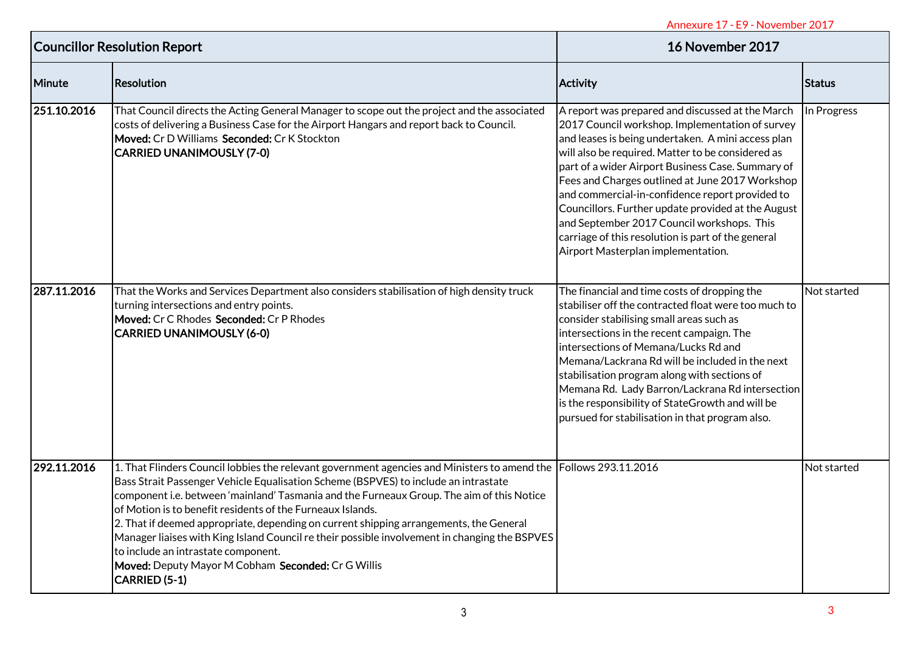| <b>Councillor Resolution Report</b> |                                                                                                                                                                                                                                                                                                                                                                                                                                                                                                                                                                                                                                                                             | 16 November 2017                                                                                                                                                                                                                                                                                                                                                                                                                                                                                                                                                          |               |
|-------------------------------------|-----------------------------------------------------------------------------------------------------------------------------------------------------------------------------------------------------------------------------------------------------------------------------------------------------------------------------------------------------------------------------------------------------------------------------------------------------------------------------------------------------------------------------------------------------------------------------------------------------------------------------------------------------------------------------|---------------------------------------------------------------------------------------------------------------------------------------------------------------------------------------------------------------------------------------------------------------------------------------------------------------------------------------------------------------------------------------------------------------------------------------------------------------------------------------------------------------------------------------------------------------------------|---------------|
| Minute                              | Resolution                                                                                                                                                                                                                                                                                                                                                                                                                                                                                                                                                                                                                                                                  | <b>Activity</b>                                                                                                                                                                                                                                                                                                                                                                                                                                                                                                                                                           | <b>Status</b> |
| 251.10.2016                         | That Council directs the Acting General Manager to scope out the project and the associated<br>costs of delivering a Business Case for the Airport Hangars and report back to Council.<br>Moved: Cr D Williams Seconded: Cr K Stockton<br><b>CARRIED UNANIMOUSLY (7-0)</b>                                                                                                                                                                                                                                                                                                                                                                                                  | A report was prepared and discussed at the March<br>2017 Council workshop. Implementation of survey<br>and leases is being undertaken. A mini access plan<br>will also be required. Matter to be considered as<br>part of a wider Airport Business Case. Summary of<br>Fees and Charges outlined at June 2017 Workshop<br>and commercial-in-confidence report provided to<br>Councillors. Further update provided at the August<br>and September 2017 Council workshops. This<br>carriage of this resolution is part of the general<br>Airport Masterplan implementation. | In Progress   |
| 287.11.2016                         | That the Works and Services Department also considers stabilisation of high density truck<br>turning intersections and entry points.<br>Moved: Cr C Rhodes Seconded: Cr P Rhodes<br><b>CARRIED UNANIMOUSLY (6-0)</b>                                                                                                                                                                                                                                                                                                                                                                                                                                                        | The financial and time costs of dropping the<br>stabiliser off the contracted float were too much to<br>consider stabilising small areas such as<br>intersections in the recent campaign. The<br>intersections of Memana/Lucks Rd and<br>Memana/Lackrana Rd will be included in the next<br>stabilisation program along with sections of<br>Memana Rd. Lady Barron/Lackrana Rd intersection<br>is the responsibility of StateGrowth and will be<br>pursued for stabilisation in that program also.                                                                        | Not started   |
| 292.11.2016                         | 1. That Flinders Council lobbies the relevant government agencies and Ministers to amend the Follows 293.11.2016<br>Bass Strait Passenger Vehicle Equalisation Scheme (BSPVES) to include an intrastate<br>component i.e. between 'mainland' Tasmania and the Furneaux Group. The aim of this Notice<br>of Motion is to benefit residents of the Furneaux Islands.<br>2. That if deemed appropriate, depending on current shipping arrangements, the General<br>Manager liaises with King Island Council re their possible involvement in changing the BSPVES<br>to include an intrastate component.<br>Moved: Deputy Mayor M Cobham Seconded: Cr G Willis<br>CARRIED (5-1) |                                                                                                                                                                                                                                                                                                                                                                                                                                                                                                                                                                           | Not started   |
|                                     |                                                                                                                                                                                                                                                                                                                                                                                                                                                                                                                                                                                                                                                                             |                                                                                                                                                                                                                                                                                                                                                                                                                                                                                                                                                                           | 3             |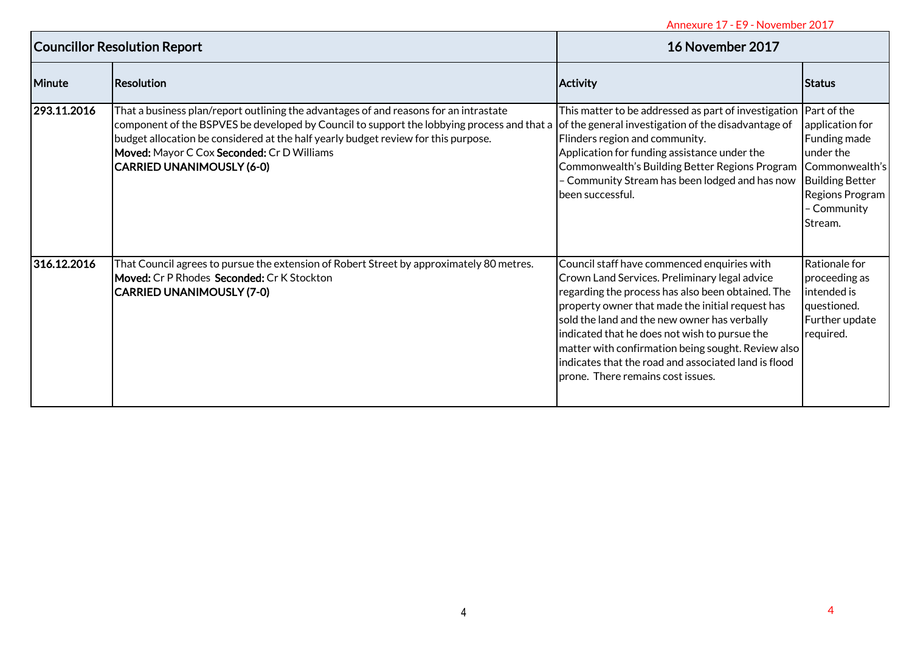| <b>Councillor Resolution Report</b> |                                                                                                                                                                                                                                                                                                                                                             | 16 November 2017                                                                                                                                                                                                                                                                                                                                                                                                                                          |                                                                                                                                       |
|-------------------------------------|-------------------------------------------------------------------------------------------------------------------------------------------------------------------------------------------------------------------------------------------------------------------------------------------------------------------------------------------------------------|-----------------------------------------------------------------------------------------------------------------------------------------------------------------------------------------------------------------------------------------------------------------------------------------------------------------------------------------------------------------------------------------------------------------------------------------------------------|---------------------------------------------------------------------------------------------------------------------------------------|
| Minute                              | <b>Resolution</b>                                                                                                                                                                                                                                                                                                                                           | Activity                                                                                                                                                                                                                                                                                                                                                                                                                                                  | <b>Status</b>                                                                                                                         |
| 293.11.2016                         | That a business plan/report outlining the advantages of and reasons for an intrastate<br>component of the BSPVES be developed by Council to support the lobbying process and that a<br>budget allocation be considered at the half yearly budget review for this purpose.<br>Moved: Mayor C Cox Seconded: Cr D Williams<br><b>CARRIED UNANIMOUSLY (6-0)</b> | This matter to be addressed as part of investigation $ $ Part of the<br>of the general investigation of the disadvantage of<br>Flinders region and community.<br>Application for funding assistance under the<br>Commonwealth's Building Better Regions Program<br>- Community Stream has been lodged and has now<br>been successful.                                                                                                                     | application for<br>Funding made<br>under the<br>Commonwealth's<br><b>Building Better</b><br>Regions Program<br>- Community<br>Stream. |
| 316.12.2016                         | That Council agrees to pursue the extension of Robert Street by approximately 80 metres.<br>Moved: Cr P Rhodes Seconded: Cr K Stockton<br><b>CARRIED UNANIMOUSLY (7-0)</b>                                                                                                                                                                                  | Council staff have commenced enquiries with<br>Crown Land Services. Preliminary legal advice<br>regarding the process has also been obtained. The<br>property owner that made the initial request has<br>sold the land and the new owner has verbally<br>indicated that he does not wish to pursue the<br>matter with confirmation being sought. Review also<br>indicates that the road and associated land is flood<br>prone. There remains cost issues. | Rationale for<br>proceeding as<br>intended is<br>questioned.<br>Further update<br>required.                                           |
|                                     |                                                                                                                                                                                                                                                                                                                                                             |                                                                                                                                                                                                                                                                                                                                                                                                                                                           |                                                                                                                                       |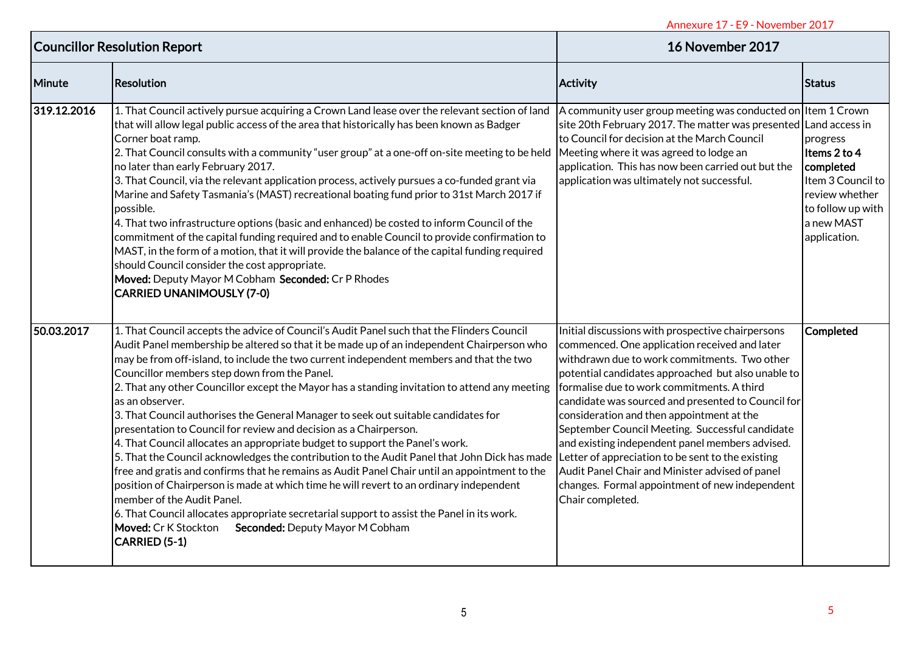| <b>Councillor Resolution Report</b> |                                                                                                                                                                                                                                                                                                                                                                                                                                                                                                                                                                                                                                                                                                                                                                                                                                                                                                                                                                                                                                                                                                                                                                                                       | Annexure 17 - E9 - November 2017<br>16 November 2017                                                                                                                                                                                                                                                                                                                                                                                                                                                                                                                                                                                          |                                                                                                                                 |
|-------------------------------------|-------------------------------------------------------------------------------------------------------------------------------------------------------------------------------------------------------------------------------------------------------------------------------------------------------------------------------------------------------------------------------------------------------------------------------------------------------------------------------------------------------------------------------------------------------------------------------------------------------------------------------------------------------------------------------------------------------------------------------------------------------------------------------------------------------------------------------------------------------------------------------------------------------------------------------------------------------------------------------------------------------------------------------------------------------------------------------------------------------------------------------------------------------------------------------------------------------|-----------------------------------------------------------------------------------------------------------------------------------------------------------------------------------------------------------------------------------------------------------------------------------------------------------------------------------------------------------------------------------------------------------------------------------------------------------------------------------------------------------------------------------------------------------------------------------------------------------------------------------------------|---------------------------------------------------------------------------------------------------------------------------------|
| Minute                              | Resolution                                                                                                                                                                                                                                                                                                                                                                                                                                                                                                                                                                                                                                                                                                                                                                                                                                                                                                                                                                                                                                                                                                                                                                                            | <b>Activity</b>                                                                                                                                                                                                                                                                                                                                                                                                                                                                                                                                                                                                                               | <b>Status</b>                                                                                                                   |
| 319.12.2016                         | 1. That Council actively pursue acquiring a Crown Land lease over the relevant section of land<br>that will allow legal public access of the area that historically has been known as Badger<br>Corner boat ramp.<br>2. That Council consults with a community "user group" at a one-off on-site meeting to be held<br>no later than early February 2017.<br>3. That Council, via the relevant application process, actively pursues a co-funded grant via<br>Marine and Safety Tasmania's (MAST) recreational boating fund prior to 31st March 2017 if<br>possible.<br>4. That two infrastructure options (basic and enhanced) be costed to inform Council of the<br>commitment of the capital funding required and to enable Council to provide confirmation to<br>MAST, in the form of a motion, that it will provide the balance of the capital funding required<br>should Council consider the cost appropriate.<br>Moved: Deputy Mayor M Cobham Seconded: Cr P Rhodes<br><b>CARRIED UNANIMOUSLY (7-0)</b>                                                                                                                                                                                       | A community user group meeting was conducted on Item 1 Crown<br>site 20th February 2017. The matter was presented Land access in<br>to Council for decision at the March Council<br>Meeting where it was agreed to lodge an<br>application. This has now been carried out but the<br>application was ultimately not successful.                                                                                                                                                                                                                                                                                                               | progress<br>Items 2 to 4<br>completed<br>Item 3 Council to<br>review whether<br>to follow up with<br>a new MAST<br>application. |
| 50.03.2017                          | 1. That Council accepts the advice of Council's Audit Panel such that the Flinders Council<br>Audit Panel membership be altered so that it be made up of an independent Chairperson who<br>may be from off-island, to include the two current independent members and that the two<br>Councillor members step down from the Panel.<br>2. That any other Councillor except the Mayor has a standing invitation to attend any meeting<br>as an observer.<br>3. That Council authorises the General Manager to seek out suitable candidates for<br>presentation to Council for review and decision as a Chairperson.<br>4. That Council allocates an appropriate budget to support the Panel's work.<br>5. That the Council acknowledges the contribution to the Audit Panel that John Dick has made<br>free and gratis and confirms that he remains as Audit Panel Chair until an appointment to the<br>position of Chairperson is made at which time he will revert to an ordinary independent<br>member of the Audit Panel.<br>6. That Council allocates appropriate secretarial support to assist the Panel in its work.<br>Moved: Cr K Stockton<br>Seconded: Deputy Mayor M Cobham<br>CARRIED (5-1) | Initial discussions with prospective chairpersons<br>commenced. One application received and later<br>withdrawn due to work commitments. Two other<br>potential candidates approached but also unable to<br>formalise due to work commitments. A third<br>candidate was sourced and presented to Council for<br>consideration and then appointment at the<br>September Council Meeting. Successful candidate<br>and existing independent panel members advised.<br>Letter of appreciation to be sent to the existing<br>Audit Panel Chair and Minister advised of panel<br>changes. Formal appointment of new independent<br>Chair completed. | Completed                                                                                                                       |
|                                     |                                                                                                                                                                                                                                                                                                                                                                                                                                                                                                                                                                                                                                                                                                                                                                                                                                                                                                                                                                                                                                                                                                                                                                                                       |                                                                                                                                                                                                                                                                                                                                                                                                                                                                                                                                                                                                                                               | 5                                                                                                                               |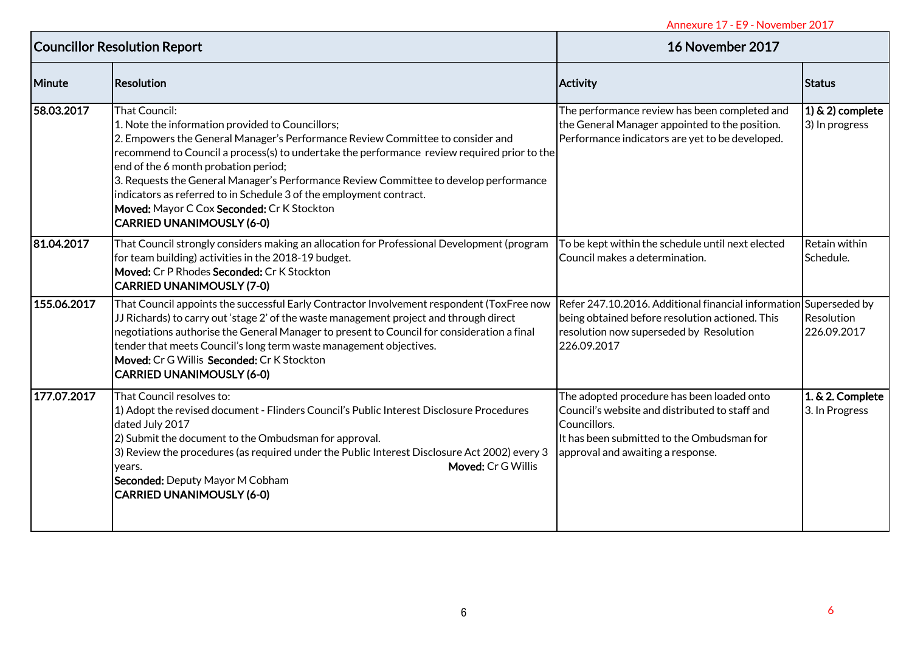| <b>Councillor Resolution Report</b> |                                                                                                                                                                                                                                                                                                                                                                                                                                                                                                                                              | 16 November 2017                                                                                                                                                                                |                                       |
|-------------------------------------|----------------------------------------------------------------------------------------------------------------------------------------------------------------------------------------------------------------------------------------------------------------------------------------------------------------------------------------------------------------------------------------------------------------------------------------------------------------------------------------------------------------------------------------------|-------------------------------------------------------------------------------------------------------------------------------------------------------------------------------------------------|---------------------------------------|
| Minute                              | Resolution                                                                                                                                                                                                                                                                                                                                                                                                                                                                                                                                   | <b>Activity</b>                                                                                                                                                                                 | Status                                |
| 58.03.2017                          | That Council:<br>1. Note the information provided to Councillors;<br>2. Empowers the General Manager's Performance Review Committee to consider and<br>recommend to Council a process(s) to undertake the performance review required prior to the<br>end of the 6 month probation period;<br>3. Requests the General Manager's Performance Review Committee to develop performance<br>indicators as referred to in Schedule 3 of the employment contract.<br>Moved: Mayor C Cox Seconded: Cr K Stockton<br><b>CARRIED UNANIMOUSLY (6-0)</b> | The performance review has been completed and<br>the General Manager appointed to the position.<br>Performance indicators are yet to be developed.                                              | $(1)$ & 2) complete<br>3) In progress |
| 81.04.2017                          | That Council strongly considers making an allocation for Professional Development (program<br>for team building) activities in the 2018-19 budget.<br>Moved: Cr P Rhodes Seconded: Cr K Stockton<br><b>CARRIED UNANIMOUSLY (7-0)</b>                                                                                                                                                                                                                                                                                                         | To be kept within the schedule until next elected<br>Council makes a determination.                                                                                                             | Retain within<br>Schedule.            |
| 155.06.2017                         | That Council appoints the successful Early Contractor Involvement respondent (ToxFree now<br>JJ Richards) to carry out 'stage 2' of the waste management project and through direct<br>negotiations authorise the General Manager to present to Council for consideration a final<br>tender that meets Council's long term waste management objectives.<br>Moved: Cr G Willis Seconded: Cr K Stockton<br>CARRIED UNANIMOUSLY (6-0)                                                                                                           | Refer 247.10.2016. Additional financial information Superseded by<br>being obtained before resolution actioned. This<br>resolution now superseded by Resolution<br>226.09.2017                  | Resolution<br>226.09.2017             |
| 177.07.2017                         | That Council resolves to:<br>1) Adopt the revised document - Flinders Council's Public Interest Disclosure Procedures<br>dated July 2017<br>2) Submit the document to the Ombudsman for approval.<br>3) Review the procedures (as required under the Public Interest Disclosure Act 2002) every 3<br>Moved: Cr G Willis<br>years.<br>Seconded: Deputy Mayor M Cobham<br><b>CARRIED UNANIMOUSLY (6-0)</b>                                                                                                                                     | The adopted procedure has been loaded onto<br>Council's website and distributed to staff and<br>Councillors.<br>It has been submitted to the Ombudsman for<br>approval and awaiting a response. | 1. & 2. Complete<br>3. In Progress    |
|                                     |                                                                                                                                                                                                                                                                                                                                                                                                                                                                                                                                              |                                                                                                                                                                                                 |                                       |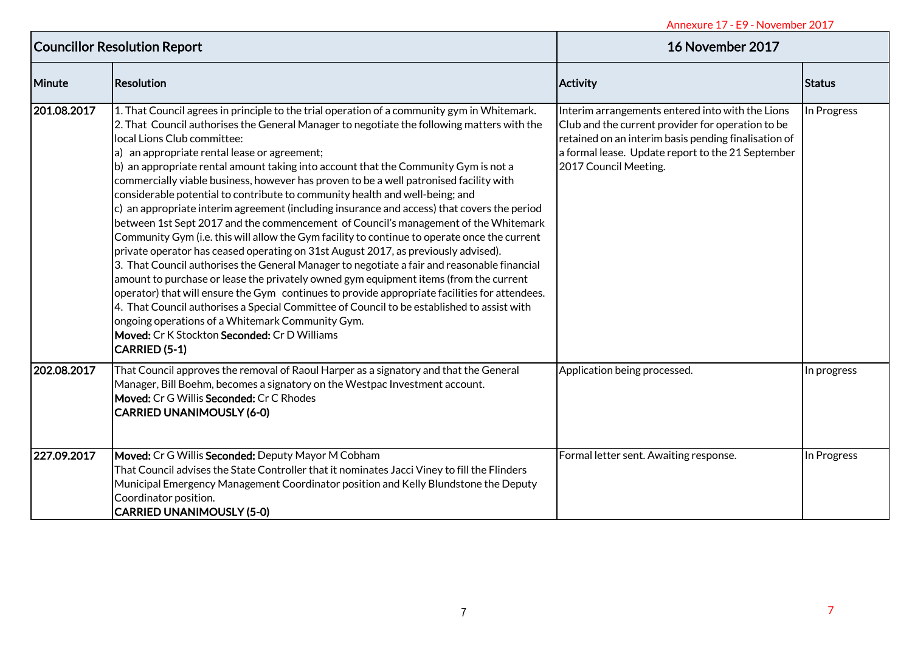| <b>Councillor Resolution Report</b> |                                                                                                                                                                                                                                                                                                                                                                                                                                                                                                                                                                                                                                                                                                                                                                                                                                                                                                                                                                                                                                                                                                                                                                                                                                                                                                                                                                                                                                                  | 16 November 2017                                                                                                                                                                                                                            |               |
|-------------------------------------|--------------------------------------------------------------------------------------------------------------------------------------------------------------------------------------------------------------------------------------------------------------------------------------------------------------------------------------------------------------------------------------------------------------------------------------------------------------------------------------------------------------------------------------------------------------------------------------------------------------------------------------------------------------------------------------------------------------------------------------------------------------------------------------------------------------------------------------------------------------------------------------------------------------------------------------------------------------------------------------------------------------------------------------------------------------------------------------------------------------------------------------------------------------------------------------------------------------------------------------------------------------------------------------------------------------------------------------------------------------------------------------------------------------------------------------------------|---------------------------------------------------------------------------------------------------------------------------------------------------------------------------------------------------------------------------------------------|---------------|
| Minute                              | <b>Resolution</b>                                                                                                                                                                                                                                                                                                                                                                                                                                                                                                                                                                                                                                                                                                                                                                                                                                                                                                                                                                                                                                                                                                                                                                                                                                                                                                                                                                                                                                | Activity                                                                                                                                                                                                                                    | <b>Status</b> |
| 201.08.2017                         | 1. That Council agrees in principle to the trial operation of a community gym in Whitemark.<br>2. That Council authorises the General Manager to negotiate the following matters with the<br>local Lions Club committee:<br>a) an appropriate rental lease or agreement;<br>b) an appropriate rental amount taking into account that the Community Gym is not a<br>commercially viable business, however has proven to be a well patronised facility with<br>considerable potential to contribute to community health and well-being; and<br>$\vert c \rangle$ an appropriate interim agreement (including insurance and access) that covers the period<br>between 1st Sept 2017 and the commencement of Council's management of the Whitemark<br>Community Gym (i.e. this will allow the Gym facility to continue to operate once the current<br>private operator has ceased operating on 31st August 2017, as previously advised).<br>3. That Council authorises the General Manager to negotiate a fair and reasonable financial<br>amount to purchase or lease the privately owned gym equipment items (from the current<br>operator) that will ensure the Gym continues to provide appropriate facilities for attendees.<br>4. That Council authorises a Special Committee of Council to be established to assist with<br>ongoing operations of a Whitemark Community Gym.<br>Moved: Cr K Stockton Seconded: Cr D Williams<br>CARRIED (5-1) | Interim arrangements entered into with the Lions<br>Club and the current provider for operation to be<br>retained on an interim basis pending finalisation of<br>a formal lease. Update report to the 21 September<br>2017 Council Meeting. | In Progress   |
| 202.08.2017                         | That Council approves the removal of Raoul Harper as a signatory and that the General<br>Manager, Bill Boehm, becomes a signatory on the Westpac Investment account.<br>Moved: Cr G Willis Seconded: Cr C Rhodes<br><b>CARRIED UNANIMOUSLY (6-0)</b>                                                                                                                                                                                                                                                                                                                                                                                                                                                                                                                                                                                                                                                                                                                                                                                                                                                                                                                                                                                                                                                                                                                                                                                             | Application being processed.                                                                                                                                                                                                                | In progress   |
| 227.09.2017                         | Moved: Cr G Willis Seconded: Deputy Mayor M Cobham<br>That Council advises the State Controller that it nominates Jacci Viney to fill the Flinders<br>Municipal Emergency Management Coordinator position and Kelly Blundstone the Deputy<br>Coordinator position.<br><b>CARRIED UNANIMOUSLY (5-0)</b>                                                                                                                                                                                                                                                                                                                                                                                                                                                                                                                                                                                                                                                                                                                                                                                                                                                                                                                                                                                                                                                                                                                                           | Formal letter sent. Awaiting response.                                                                                                                                                                                                      | In Progress   |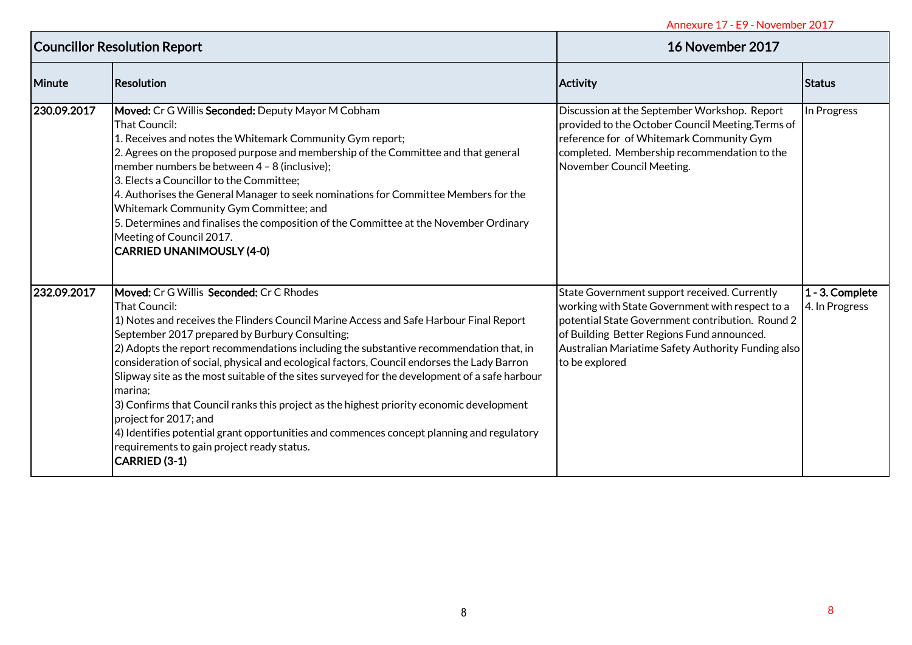| <b>Councillor Resolution Report</b> |                                                                                                                                                                                                                                                                                                                                                                                                                                                                                                                                                                                                                                                                                                                                                                                            | 16 November 2017                                                                                                                                                                                                                                                          |                                      |
|-------------------------------------|--------------------------------------------------------------------------------------------------------------------------------------------------------------------------------------------------------------------------------------------------------------------------------------------------------------------------------------------------------------------------------------------------------------------------------------------------------------------------------------------------------------------------------------------------------------------------------------------------------------------------------------------------------------------------------------------------------------------------------------------------------------------------------------------|---------------------------------------------------------------------------------------------------------------------------------------------------------------------------------------------------------------------------------------------------------------------------|--------------------------------------|
| <b>Minute</b>                       | Resolution                                                                                                                                                                                                                                                                                                                                                                                                                                                                                                                                                                                                                                                                                                                                                                                 | <b>Activity</b>                                                                                                                                                                                                                                                           | <b>Status</b>                        |
| 230.09.2017                         | Moved: Cr G Willis Seconded: Deputy Mayor M Cobham<br>That Council:<br>1. Receives and notes the Whitemark Community Gym report;<br>2. Agrees on the proposed purpose and membership of the Committee and that general<br>member numbers be between 4 - 8 (inclusive);<br>3. Elects a Councillor to the Committee;<br>4. Authorises the General Manager to seek nominations for Committee Members for the<br>Whitemark Community Gym Committee; and<br>5. Determines and finalises the composition of the Committee at the November Ordinary<br>Meeting of Council 2017.<br><b>CARRIED UNANIMOUSLY (4-0)</b>                                                                                                                                                                               | Discussion at the September Workshop. Report<br>provided to the October Council Meeting. Terms of<br>reference for of Whitemark Community Gym<br>completed. Membership recommendation to the<br>November Council Meeting.                                                 | In Progress                          |
| 232.09.2017                         | Moved: Cr G Willis Seconded: Cr C Rhodes<br>That Council:<br>1) Notes and receives the Flinders Council Marine Access and Safe Harbour Final Report<br>September 2017 prepared by Burbury Consulting;<br>2) Adopts the report recommendations including the substantive recommendation that, in<br>consideration of social, physical and ecological factors, Council endorses the Lady Barron<br>Slipway site as the most suitable of the sites surveyed for the development of a safe harbour<br>marina;<br>3) Confirms that Council ranks this project as the highest priority economic development<br>project for 2017; and<br>4) Identifies potential grant opportunities and commences concept planning and regulatory<br>requirements to gain project ready status.<br>CARRIED (3-1) | State Government support received. Currently<br>working with State Government with respect to a<br>potential State Government contribution. Round 2<br>of Building Better Regions Fund announced.<br>Australian Mariatime Safety Authority Funding also<br>to be explored | $1 - 3$ . Complete<br>4. In Progress |
|                                     |                                                                                                                                                                                                                                                                                                                                                                                                                                                                                                                                                                                                                                                                                                                                                                                            |                                                                                                                                                                                                                                                                           |                                      |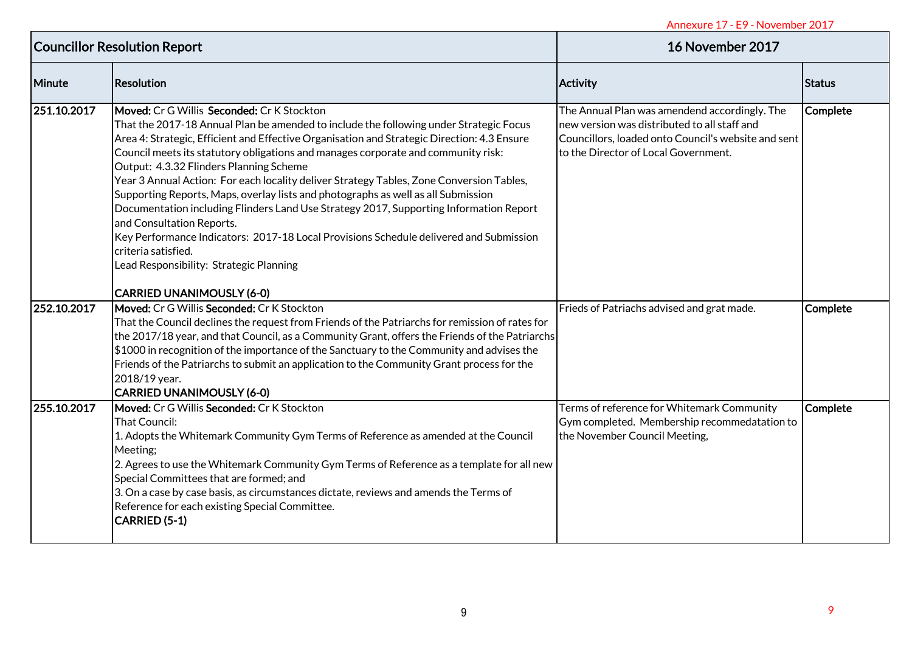| <b>Councillor Resolution Report</b> |                                                                                                                                                                                                                                                                                                                                                                                                                                                                                                                                                                                                                                                                                                                                                                                                                                         | 16 November 2017                                                                                                                                                                             |                 |
|-------------------------------------|-----------------------------------------------------------------------------------------------------------------------------------------------------------------------------------------------------------------------------------------------------------------------------------------------------------------------------------------------------------------------------------------------------------------------------------------------------------------------------------------------------------------------------------------------------------------------------------------------------------------------------------------------------------------------------------------------------------------------------------------------------------------------------------------------------------------------------------------|----------------------------------------------------------------------------------------------------------------------------------------------------------------------------------------------|-----------------|
| Minute                              | <b>Resolution</b>                                                                                                                                                                                                                                                                                                                                                                                                                                                                                                                                                                                                                                                                                                                                                                                                                       | <b>Activity</b>                                                                                                                                                                              | Status          |
| 251.10.2017                         | Moved: Cr G Willis Seconded: Cr K Stockton<br>That the 2017-18 Annual Plan be amended to include the following under Strategic Focus<br>Area 4: Strategic, Efficient and Effective Organisation and Strategic Direction: 4.3 Ensure<br>Council meets its statutory obligations and manages corporate and community risk:<br>Output: 4.3.32 Flinders Planning Scheme<br>Year 3 Annual Action: For each locality deliver Strategy Tables, Zone Conversion Tables,<br>Supporting Reports, Maps, overlay lists and photographs as well as all Submission<br>Documentation including Flinders Land Use Strategy 2017, Supporting Information Report<br>and Consultation Reports.<br>Key Performance Indicators: 2017-18 Local Provisions Schedule delivered and Submission<br>criteria satisfied.<br>Lead Responsibility: Strategic Planning | The Annual Plan was amendend accordingly. The<br>new version was distributed to all staff and<br>Councillors, loaded onto Council's website and sent<br>to the Director of Local Government. | <b>Complete</b> |
| 252.10.2017                         | <b>CARRIED UNANIMOUSLY (6-0)</b><br>Moved: Cr G Willis Seconded: Cr K Stockton<br>That the Council declines the request from Friends of the Patriarchs for remission of rates for<br>the 2017/18 year, and that Council, as a Community Grant, offers the Friends of the Patriarchs<br>\$1000 in recognition of the importance of the Sanctuary to the Community and advises the<br>Friends of the Patriarchs to submit an application to the Community Grant process for the<br>2018/19 year.                                                                                                                                                                                                                                                                                                                                          | Frieds of Patriachs advised and grat made.                                                                                                                                                   | Complete        |
| 255.10.2017                         | <b>CARRIED UNANIMOUSLY (6-0)</b><br>Moved: Cr G Willis Seconded: Cr K Stockton<br>That Council:<br>1. Adopts the Whitemark Community Gym Terms of Reference as amended at the Council<br>Meeting;<br>2. Agrees to use the Whitemark Community Gym Terms of Reference as a template for all new<br>Special Committees that are formed; and<br>3. On a case by case basis, as circumstances dictate, reviews and amends the Terms of<br>Reference for each existing Special Committee.<br><b>CARRIED (5-1)</b>                                                                                                                                                                                                                                                                                                                            | Terms of reference for Whitemark Community<br>Gym completed. Membership recommedatation to<br>the November Council Meeting,                                                                  | <b>Complete</b> |